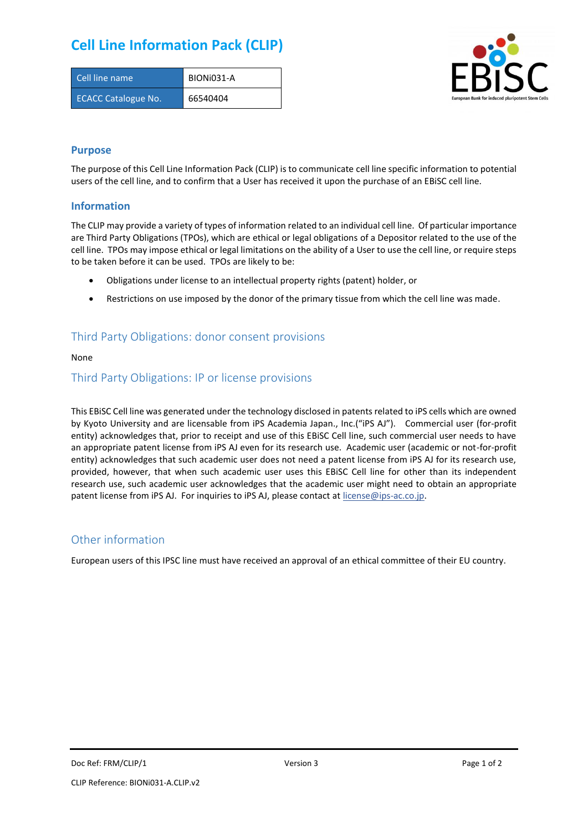# **Cell Line Information Pack (CLIP)**

| Cell line name             | BIONI031-A |
|----------------------------|------------|
| <b>ECACC Catalogue No.</b> | 66540404   |



#### **Purpose**

The purpose of this Cell Line Information Pack (CLIP) is to communicate cell line specific information to potential users of the cell line, and to confirm that a User has received it upon the purchase of an EBiSC cell line.

#### **Information**

The CLIP may provide a variety of types of information related to an individual cell line. Of particular importance are Third Party Obligations (TPOs), which are ethical or legal obligations of a Depositor related to the use of the cell line. TPOs may impose ethical or legal limitations on the ability of a User to use the cell line, or require steps to be taken before it can be used. TPOs are likely to be:

- Obligations under license to an intellectual property rights (patent) holder, or
- Restrictions on use imposed by the donor of the primary tissue from which the cell line was made.

## Third Party Obligations: donor consent provisions

None

#### Third Party Obligations: IP or license provisions

This EBiSC Cell line was generated under the technology disclosed in patents related to iPS cells which are owned by Kyoto University and are licensable from iPS Academia Japan., Inc.("iPS AJ"). Commercial user (for-profit entity) acknowledges that, prior to receipt and use of this EBiSC Cell line, such commercial user needs to have an appropriate patent license from iPS AJ even for its research use. Academic user (academic or not-for-profit entity) acknowledges that such academic user does not need a patent license from iPS AJ for its research use, provided, however, that when such academic user uses this EBiSC Cell line for other than its independent research use, such academic user acknowledges that the academic user might need to obtain an appropriate patent license from iPS AJ. For inquiries to iPS AJ, please contact at [license@ips-ac.co.jp.](mailto:license@ips-ac.co.jp)

### Other information

European users of this IPSC line must have received an approval of an ethical committee of their EU country.